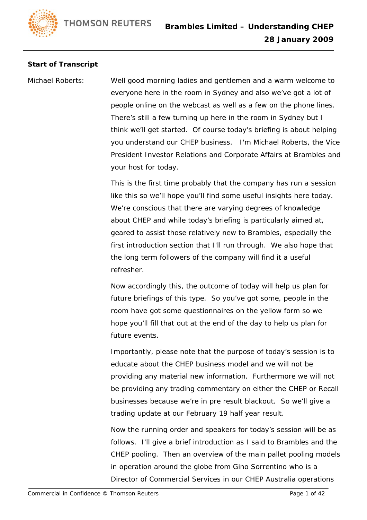## **Start of Transcript**

Michael Roberts: Well good morning ladies and gentlemen and a warm welcome to everyone here in the room in Sydney and also we've got a lot of people online on the webcast as well as a few on the phone lines. There's still a few turning up here in the room in Sydney but I think we'll get started. Of course today's briefing is about helping you understand our CHEP business. I'm Michael Roberts, the Vice President Investor Relations and Corporate Affairs at Brambles and your host for today.

> This is the first time probably that the company has run a session like this so we'll hope you'll find some useful insights here today. We're conscious that there are varying degrees of knowledge about CHEP and while today's briefing is particularly aimed at, geared to assist those relatively new to Brambles, especially the first introduction section that I'll run through. We also hope that the long term followers of the company will find it a useful refresher.

Now accordingly this, the outcome of today will help us plan for future briefings of this type. So you've got some, people in the room have got some questionnaires on the yellow form so we hope you'll fill that out at the end of the day to help us plan for future events.

Importantly, please note that the purpose of today's session is to educate about the CHEP business model and we will not be providing any material new information. Furthermore we will not be providing any trading commentary on either the CHEP or Recall businesses because we're in pre result blackout. So we'll give a trading update at our February 19 half year result.

Now the running order and speakers for today's session will be as follows. I'll give a brief introduction as I said to Brambles and the CHEP pooling. Then an overview of the main pallet pooling models in operation around the globe from Gino Sorrentino who is a Director of Commercial Services in our CHEP Australia operations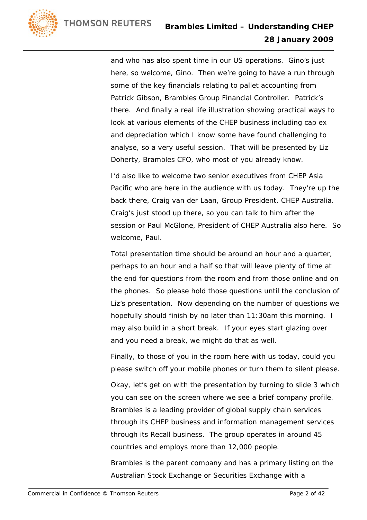and who has also spent time in our US operations. Gino's just here, so welcome, Gino. Then we're going to have a run through some of the key financials relating to pallet accounting from Patrick Gibson, Brambles Group Financial Controller. Patrick's there. And finally a real life illustration showing practical ways to look at various elements of the CHEP business including cap ex and depreciation which I know some have found challenging to analyse, so a very useful session. That will be presented by Liz Doherty, Brambles CFO, who most of you already know.

I'd also like to welcome two senior executives from CHEP Asia Pacific who are here in the audience with us today. They're up the back there, Craig van der Laan, Group President, CHEP Australia. Craig's just stood up there, so you can talk to him after the session or Paul McGlone, President of CHEP Australia also here. So welcome, Paul.

Total presentation time should be around an hour and a quarter, perhaps to an hour and a half so that will leave plenty of time at the end for questions from the room and from those online and on the phones. So please hold those questions until the conclusion of Liz's presentation. Now depending on the number of questions we hopefully should finish by no later than 11:30am this morning. I may also build in a short break. If your eyes start glazing over and you need a break, we might do that as well.

Finally, to those of you in the room here with us today, could you please switch off your mobile phones or turn them to silent please.

Okay, let's get on with the presentation by turning to slide 3 which you can see on the screen where we see a brief company profile. Brambles is a leading provider of global supply chain services through its CHEP business and information management services through its Recall business. The group operates in around 45 countries and employs more than 12,000 people.

Brambles is the parent company and has a primary listing on the Australian Stock Exchange or Securities Exchange with a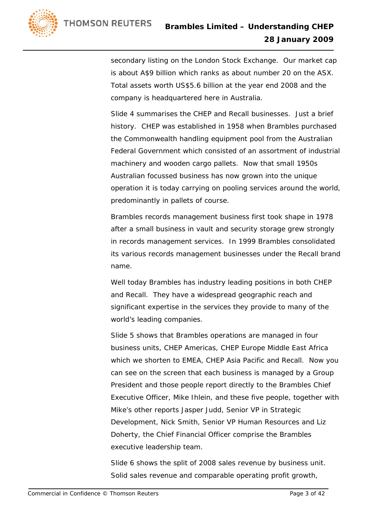

secondary listing on the London Stock Exchange. Our market cap is about A\$9 billion which ranks as about number 20 on the ASX. Total assets worth US\$5.6 billion at the year end 2008 and the company is headquartered here in Australia.

Slide 4 summarises the CHEP and Recall businesses. Just a brief history. CHEP was established in 1958 when Brambles purchased the Commonwealth handling equipment pool from the Australian Federal Government which consisted of an assortment of industrial machinery and wooden cargo pallets. Now that small 1950s Australian focussed business has now grown into the unique operation it is today carrying on pooling services around the world, predominantly in pallets of course.

Brambles records management business first took shape in 1978 after a small business in vault and security storage grew strongly in records management services. In 1999 Brambles consolidated its various records management businesses under the Recall brand name.

Well today Brambles has industry leading positions in both CHEP and Recall. They have a widespread geographic reach and significant expertise in the services they provide to many of the world's leading companies.

Slide 5 shows that Brambles operations are managed in four business units, CHEP Americas, CHEP Europe Middle East Africa which we shorten to EMEA, CHEP Asia Pacific and Recall. Now you can see on the screen that each business is managed by a Group President and those people report directly to the Brambles Chief Executive Officer, Mike Ihlein, and these five people, together with Mike's other reports Jasper Judd, Senior VP in Strategic Development, Nick Smith, Senior VP Human Resources and Liz Doherty, the Chief Financial Officer comprise the Brambles executive leadership team.

Slide 6 shows the split of 2008 sales revenue by business unit. Solid sales revenue and comparable operating profit growth,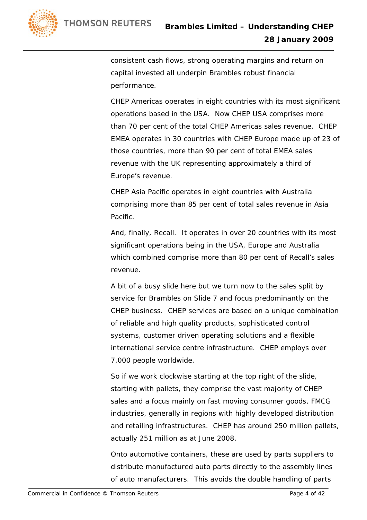

consistent cash flows, strong operating margins and return on capital invested all underpin Brambles robust financial performance.

CHEP Americas operates in eight countries with its most significant operations based in the USA. Now CHEP USA comprises more than 70 per cent of the total CHEP Americas sales revenue. CHEP EMEA operates in 30 countries with CHEP Europe made up of 23 of those countries, more than 90 per cent of total EMEA sales revenue with the UK representing approximately a third of Europe's revenue.

CHEP Asia Pacific operates in eight countries with Australia comprising more than 85 per cent of total sales revenue in Asia Pacific.

And, finally, Recall. It operates in over 20 countries with its most significant operations being in the USA, Europe and Australia which combined comprise more than 80 per cent of Recall's sales revenue.

A bit of a busy slide here but we turn now to the sales split by service for Brambles on Slide 7 and focus predominantly on the CHEP business. CHEP services are based on a unique combination of reliable and high quality products, sophisticated control systems, customer driven operating solutions and a flexible international service centre infrastructure. CHEP employs over 7,000 people worldwide.

So if we work clockwise starting at the top right of the slide, starting with pallets, they comprise the vast majority of CHEP sales and a focus mainly on fast moving consumer goods, FMCG industries, generally in regions with highly developed distribution and retailing infrastructures. CHEP has around 250 million pallets, actually 251 million as at June 2008.

Onto automotive containers, these are used by parts suppliers to distribute manufactured auto parts directly to the assembly lines of auto manufacturers. This avoids the double handling of parts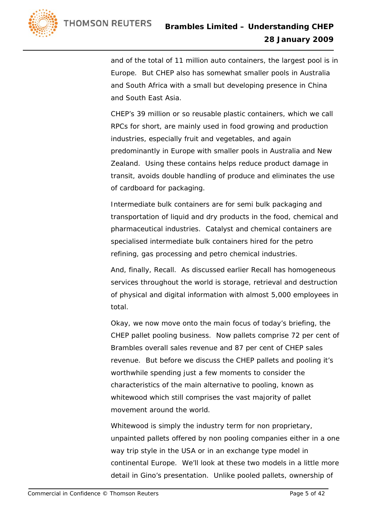

and of the total of 11 million auto containers, the largest pool is in Europe. But CHEP also has somewhat smaller pools in Australia and South Africa with a small but developing presence in China and South East Asia.

CHEP's 39 million or so reusable plastic containers, which we call RPCs for short, are mainly used in food growing and production industries, especially fruit and vegetables, and again predominantly in Europe with smaller pools in Australia and New Zealand. Using these contains helps reduce product damage in transit, avoids double handling of produce and eliminates the use of cardboard for packaging.

Intermediate bulk containers are for semi bulk packaging and transportation of liquid and dry products in the food, chemical and pharmaceutical industries. Catalyst and chemical containers are specialised intermediate bulk containers hired for the petro refining, gas processing and petro chemical industries.

And, finally, Recall. As discussed earlier Recall has homogeneous services throughout the world is storage, retrieval and destruction of physical and digital information with almost 5,000 employees in total.

Okay, we now move onto the main focus of today's briefing, the CHEP pallet pooling business. Now pallets comprise 72 per cent of Brambles overall sales revenue and 87 per cent of CHEP sales revenue. But before we discuss the CHEP pallets and pooling it's worthwhile spending just a few moments to consider the characteristics of the main alternative to pooling, known as whitewood which still comprises the vast majority of pallet movement around the world.

Whitewood is simply the industry term for non proprietary, unpainted pallets offered by non pooling companies either in a one way trip style in the USA or in an exchange type model in continental Europe. We'll look at these two models in a little more detail in Gino's presentation. Unlike pooled pallets, ownership of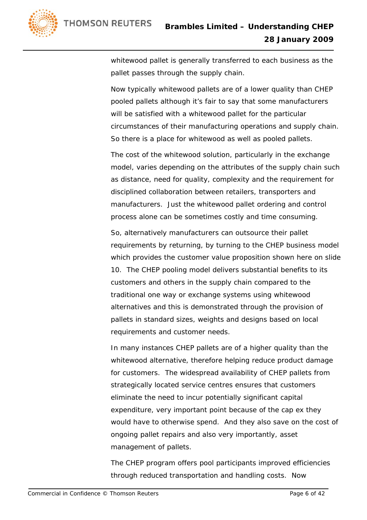

whitewood pallet is generally transferred to each business as the pallet passes through the supply chain.

Now typically whitewood pallets are of a lower quality than CHEP pooled pallets although it's fair to say that some manufacturers will be satisfied with a whitewood pallet for the particular circumstances of their manufacturing operations and supply chain. So there is a place for whitewood as well as pooled pallets.

The cost of the whitewood solution, particularly in the exchange model, varies depending on the attributes of the supply chain such as distance, need for quality, complexity and the requirement for disciplined collaboration between retailers, transporters and manufacturers. Just the whitewood pallet ordering and control process alone can be sometimes costly and time consuming.

So, alternatively manufacturers can outsource their pallet requirements by returning, by turning to the CHEP business model which provides the customer value proposition shown here on slide 10. The CHEP pooling model delivers substantial benefits to its customers and others in the supply chain compared to the traditional one way or exchange systems using whitewood alternatives and this is demonstrated through the provision of pallets in standard sizes, weights and designs based on local requirements and customer needs.

In many instances CHEP pallets are of a higher quality than the whitewood alternative, therefore helping reduce product damage for customers. The widespread availability of CHEP pallets from strategically located service centres ensures that customers eliminate the need to incur potentially significant capital expenditure, very important point because of the cap ex they would have to otherwise spend. And they also save on the cost of ongoing pallet repairs and also very importantly, asset management of pallets.

The CHEP program offers pool participants improved efficiencies through reduced transportation and handling costs. Now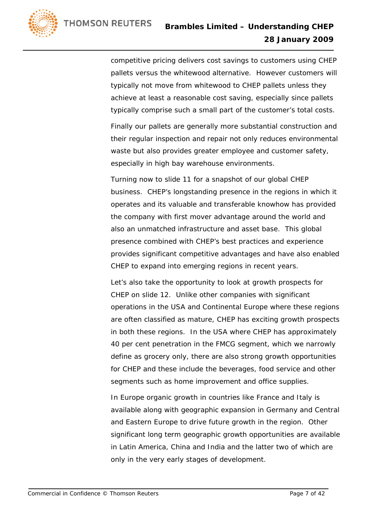

competitive pricing delivers cost savings to customers using CHEP pallets versus the whitewood alternative. However customers will typically not move from whitewood to CHEP pallets unless they achieve at least a reasonable cost saving, especially since pallets typically comprise such a small part of the customer's total costs.

Finally our pallets are generally more substantial construction and their regular inspection and repair not only reduces environmental waste but also provides greater employee and customer safety, especially in high bay warehouse environments.

Turning now to slide 11 for a snapshot of our global CHEP business. CHEP's longstanding presence in the regions in which it operates and its valuable and transferable knowhow has provided the company with first mover advantage around the world and also an unmatched infrastructure and asset base. This global presence combined with CHEP's best practices and experience provides significant competitive advantages and have also enabled CHEP to expand into emerging regions in recent years.

Let's also take the opportunity to look at growth prospects for CHEP on slide 12. Unlike other companies with significant operations in the USA and Continental Europe where these regions are often classified as mature, CHEP has exciting growth prospects in both these regions. In the USA where CHEP has approximately 40 per cent penetration in the FMCG segment, which we narrowly define as grocery only, there are also strong growth opportunities for CHEP and these include the beverages, food service and other segments such as home improvement and office supplies.

In Europe organic growth in countries like France and Italy is available along with geographic expansion in Germany and Central and Eastern Europe to drive future growth in the region. Other significant long term geographic growth opportunities are available in Latin America, China and India and the latter two of which are only in the very early stages of development.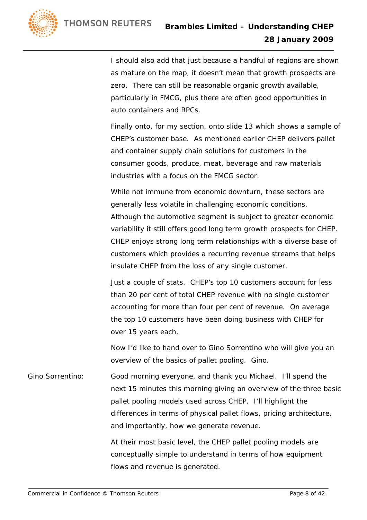

I should also add that just because a handful of regions are shown as mature on the map, it doesn't mean that growth prospects are zero. There can still be reasonable organic growth available, particularly in FMCG, plus there are often good opportunities in auto containers and RPCs.

Finally onto, for my section, onto slide 13 which shows a sample of CHEP's customer base. As mentioned earlier CHEP delivers pallet and container supply chain solutions for customers in the consumer goods, produce, meat, beverage and raw materials industries with a focus on the FMCG sector.

While not immune from economic downturn, these sectors are generally less volatile in challenging economic conditions. Although the automotive segment is subject to greater economic variability it still offers good long term growth prospects for CHEP. CHEP enjoys strong long term relationships with a diverse base of customers which provides a recurring revenue streams that helps insulate CHEP from the loss of any single customer.

Just a couple of stats. CHEP's top 10 customers account for less than 20 per cent of total CHEP revenue with no single customer accounting for more than four per cent of revenue. On average the top 10 customers have been doing business with CHEP for over 15 years each.

Now I'd like to hand over to Gino Sorrentino who will give you an overview of the basics of pallet pooling. Gino.

Gino Sorrentino: Good morning everyone, and thank you Michael. I'll spend the next 15 minutes this morning giving an overview of the three basic pallet pooling models used across CHEP. I'll highlight the differences in terms of physical pallet flows, pricing architecture, and importantly, how we generate revenue.

> At their most basic level, the CHEP pallet pooling models are conceptually simple to understand in terms of how equipment flows and revenue is generated.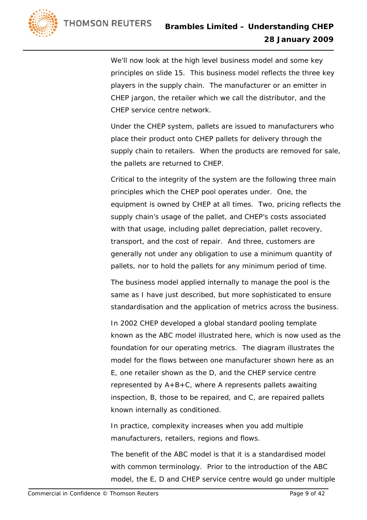We'll now look at the high level business model and some key principles on slide 15. This business model reflects the three key players in the supply chain. The manufacturer or an emitter in CHEP jargon, the retailer which we call the distributor, and the CHEP service centre network.

 Under the CHEP system, pallets are issued to manufacturers who place their product onto CHEP pallets for delivery through the supply chain to retailers. When the products are removed for sale, the pallets are returned to CHEP.

 Critical to the integrity of the system are the following three main principles which the CHEP pool operates under. One, the equipment is owned by CHEP at all times. Two, pricing reflects the supply chain's usage of the pallet, and CHEP's costs associated with that usage, including pallet depreciation, pallet recovery, transport, and the cost of repair. And three, customers are generally not under any obligation to use a minimum quantity of pallets, nor to hold the pallets for any minimum period of time.

 The business model applied internally to manage the pool is the same as I have just described, but more sophisticated to ensure standardisation and the application of metrics across the business.

 In 2002 CHEP developed a global standard pooling template known as the ABC model illustrated here, which is now used as the foundation for our operating metrics. The diagram illustrates the model for the flows between one manufacturer shown here as an E, one retailer shown as the D, and the CHEP service centre represented by A+B+C, where A represents pallets awaiting inspection, B, those to be repaired, and C, are repaired pallets known internally as conditioned.

 In practice, complexity increases when you add multiple manufacturers, retailers, regions and flows.

 The benefit of the ABC model is that it is a standardised model with common terminology. Prior to the introduction of the ABC model, the E, D and CHEP service centre would go under multiple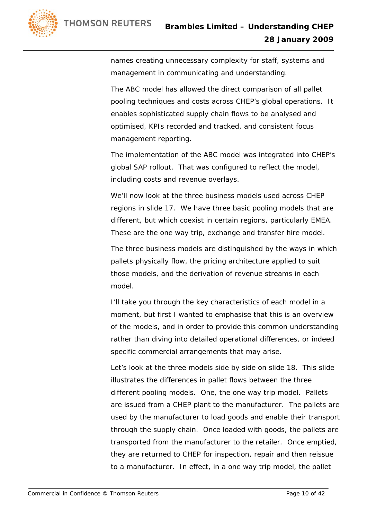

names creating unnecessary complexity for staff, systems and management in communicating and understanding.

 The ABC model has allowed the direct comparison of all pallet pooling techniques and costs across CHEP's global operations. It enables sophisticated supply chain flows to be analysed and optimised, KPIs recorded and tracked, and consistent focus management reporting.

 The implementation of the ABC model was integrated into CHEP's global SAP rollout. That was configured to reflect the model, including costs and revenue overlays.

 We'll now look at the three business models used across CHEP regions in slide 17. We have three basic pooling models that are different, but which coexist in certain regions, particularly EMEA. These are the one way trip, exchange and transfer hire model.

 The three business models are distinguished by the ways in which pallets physically flow, the pricing architecture applied to suit those models, and the derivation of revenue streams in each model.

 I'll take you through the key characteristics of each model in a moment, but first I wanted to emphasise that this is an overview of the models, and in order to provide this common understanding rather than diving into detailed operational differences, or indeed specific commercial arrangements that may arise.

 Let's look at the three models side by side on slide 18. This slide illustrates the differences in pallet flows between the three different pooling models. One, the one way trip model. Pallets are issued from a CHEP plant to the manufacturer. The pallets are used by the manufacturer to load goods and enable their transport through the supply chain. Once loaded with goods, the pallets are transported from the manufacturer to the retailer. Once emptied, they are returned to CHEP for inspection, repair and then reissue to a manufacturer. In effect, in a one way trip model, the pallet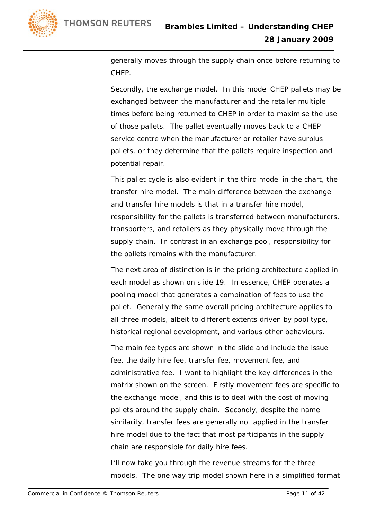



generally moves through the supply chain once before returning to CHEP.

 Secondly, the exchange model. In this model CHEP pallets may be exchanged between the manufacturer and the retailer multiple times before being returned to CHEP in order to maximise the use of those pallets. The pallet eventually moves back to a CHEP service centre when the manufacturer or retailer have surplus pallets, or they determine that the pallets require inspection and potential repair.

 This pallet cycle is also evident in the third model in the chart, the transfer hire model. The main difference between the exchange and transfer hire models is that in a transfer hire model, responsibility for the pallets is transferred between manufacturers, transporters, and retailers as they physically move through the supply chain. In contrast in an exchange pool, responsibility for the pallets remains with the manufacturer.

 The next area of distinction is in the pricing architecture applied in each model as shown on slide 19. In essence, CHEP operates a pooling model that generates a combination of fees to use the pallet. Generally the same overall pricing architecture applies to all three models, albeit to different extents driven by pool type, historical regional development, and various other behaviours.

 The main fee types are shown in the slide and include the issue fee, the daily hire fee, transfer fee, movement fee, and administrative fee. I want to highlight the key differences in the matrix shown on the screen. Firstly movement fees are specific to the exchange model, and this is to deal with the cost of moving pallets around the supply chain. Secondly, despite the name similarity, transfer fees are generally not applied in the transfer hire model due to the fact that most participants in the supply chain are responsible for daily hire fees.

 I'll now take you through the revenue streams for the three models. The one way trip model shown here in a simplified format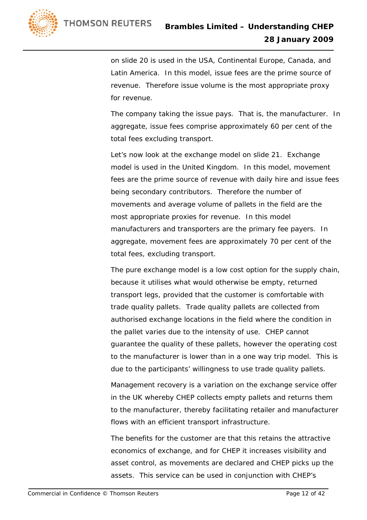

on slide 20 is used in the USA, Continental Europe, Canada, and Latin America. In this model, issue fees are the prime source of revenue. Therefore issue volume is the most appropriate proxy for revenue.

 The company taking the issue pays. That is, the manufacturer. In aggregate, issue fees comprise approximately 60 per cent of the total fees excluding transport.

 Let's now look at the exchange model on slide 21. Exchange model is used in the United Kingdom. In this model, movement fees are the prime source of revenue with daily hire and issue fees being secondary contributors. Therefore the number of movements and average volume of pallets in the field are the most appropriate proxies for revenue. In this model manufacturers and transporters are the primary fee payers. In aggregate, movement fees are approximately 70 per cent of the total fees, excluding transport.

 The pure exchange model is a low cost option for the supply chain, because it utilises what would otherwise be empty, returned transport legs, provided that the customer is comfortable with trade quality pallets. Trade quality pallets are collected from authorised exchange locations in the field where the condition in the pallet varies due to the intensity of use. CHEP cannot guarantee the quality of these pallets, however the operating cost to the manufacturer is lower than in a one way trip model. This is due to the participants' willingness to use trade quality pallets.

 Management recovery is a variation on the exchange service offer in the UK whereby CHEP collects empty pallets and returns them to the manufacturer, thereby facilitating retailer and manufacturer flows with an efficient transport infrastructure.

 The benefits for the customer are that this retains the attractive economics of exchange, and for CHEP it increases visibility and asset control, as movements are declared and CHEP picks up the assets. This service can be used in conjunction with CHEP's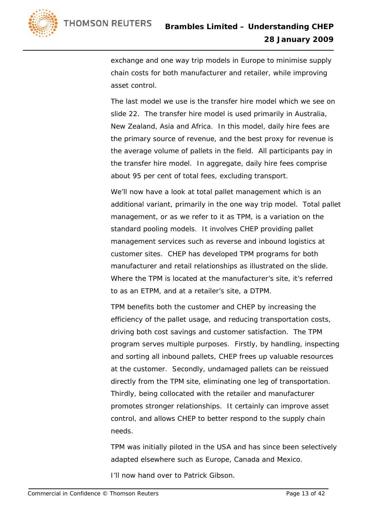

exchange and one way trip models in Europe to minimise supply chain costs for both manufacturer and retailer, while improving asset control.

 The last model we use is the transfer hire model which we see on slide 22. The transfer hire model is used primarily in Australia, New Zealand, Asia and Africa. In this model, daily hire fees are the primary source of revenue, and the best proxy for revenue is the average volume of pallets in the field. All participants pay in the transfer hire model. In aggregate, daily hire fees comprise about 95 per cent of total fees, excluding transport.

 We'll now have a look at total pallet management which is an additional variant, primarily in the one way trip model. Total pallet management, or as we refer to it as TPM, is a variation on the standard pooling models. It involves CHEP providing pallet management services such as reverse and inbound logistics at customer sites. CHEP has developed TPM programs for both manufacturer and retail relationships as illustrated on the slide. Where the TPM is located at the manufacturer's site, it's referred to as an ETPM, and at a retailer's site, a DTPM.

 TPM benefits both the customer and CHEP by increasing the efficiency of the pallet usage, and reducing transportation costs, driving both cost savings and customer satisfaction. The TPM program serves multiple purposes. Firstly, by handling, inspecting and sorting all inbound pallets, CHEP frees up valuable resources at the customer. Secondly, undamaged pallets can be reissued directly from the TPM site, eliminating one leg of transportation. Thirdly, being collocated with the retailer and manufacturer promotes stronger relationships. It certainly can improve asset control, and allows CHEP to better respond to the supply chain needs.

 TPM was initially piloted in the USA and has since been selectively adapted elsewhere such as Europe, Canada and Mexico.

I'll now hand over to Patrick Gibson.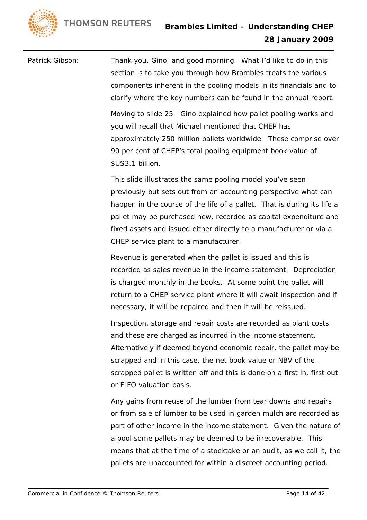**THOMSON REUTERS** 



Patrick Gibson: Thank you, Gino, and good morning. What I'd like to do in this section is to take you through how Brambles treats the various components inherent in the pooling models in its financials and to clarify where the key numbers can be found in the annual report. Moving to slide 25. Gino explained how pallet pooling works and you will recall that Michael mentioned that CHEP has approximately 250 million pallets worldwide. These comprise over

\$US3.1 billion.

 This slide illustrates the same pooling model you've seen previously but sets out from an accounting perspective what can happen in the course of the life of a pallet. That is during its life a pallet may be purchased new, recorded as capital expenditure and fixed assets and issued either directly to a manufacturer or via a CHEP service plant to a manufacturer.

90 per cent of CHEP's total pooling equipment book value of

 Revenue is generated when the pallet is issued and this is recorded as sales revenue in the income statement. Depreciation is charged monthly in the books. At some point the pallet will return to a CHEP service plant where it will await inspection and if necessary, it will be repaired and then it will be reissued.

 Inspection, storage and repair costs are recorded as plant costs and these are charged as incurred in the income statement. Alternatively if deemed beyond economic repair, the pallet may be scrapped and in this case, the net book value or NBV of the scrapped pallet is written off and this is done on a first in, first out or FIFO valuation basis.

 Any gains from reuse of the lumber from tear downs and repairs or from sale of lumber to be used in garden mulch are recorded as part of other income in the income statement. Given the nature of a pool some pallets may be deemed to be irrecoverable. This means that at the time of a stocktake or an audit, as we call it, the pallets are unaccounted for within a discreet accounting period.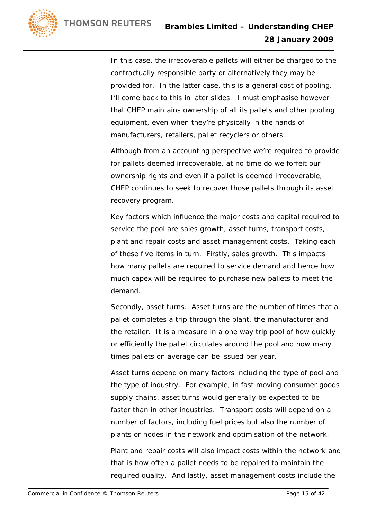

 In this case, the irrecoverable pallets will either be charged to the contractually responsible party or alternatively they may be provided for. In the latter case, this is a general cost of pooling. I'll come back to this in later slides. I must emphasise however that CHEP maintains ownership of all its pallets and other pooling equipment, even when they're physically in the hands of manufacturers, retailers, pallet recyclers or others.

 Although from an accounting perspective we're required to provide for pallets deemed irrecoverable, at no time do we forfeit our ownership rights and even if a pallet is deemed irrecoverable, CHEP continues to seek to recover those pallets through its asset recovery program.

 Key factors which influence the major costs and capital required to service the pool are sales growth, asset turns, transport costs, plant and repair costs and asset management costs. Taking each of these five items in turn. Firstly, sales growth. This impacts how many pallets are required to service demand and hence how much capex will be required to purchase new pallets to meet the demand.

 Secondly, asset turns. Asset turns are the number of times that a pallet completes a trip through the plant, the manufacturer and the retailer. It is a measure in a one way trip pool of how quickly or efficiently the pallet circulates around the pool and how many times pallets on average can be issued per year.

 Asset turns depend on many factors including the type of pool and the type of industry. For example, in fast moving consumer goods supply chains, asset turns would generally be expected to be faster than in other industries. Transport costs will depend on a number of factors, including fuel prices but also the number of plants or nodes in the network and optimisation of the network.

 Plant and repair costs will also impact costs within the network and that is how often a pallet needs to be repaired to maintain the required quality. And lastly, asset management costs include the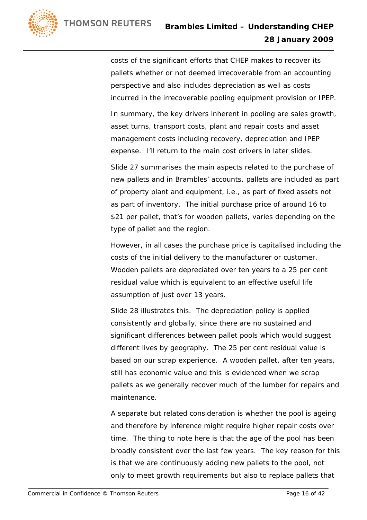costs of the significant efforts that CHEP makes to recover its pallets whether or not deemed irrecoverable from an accounting perspective and also includes depreciation as well as costs incurred in the irrecoverable pooling equipment provision or IPEP.

 In summary, the key drivers inherent in pooling are sales growth, asset turns, transport costs, plant and repair costs and asset management costs including recovery, depreciation and IPEP expense. I'll return to the main cost drivers in later slides.

 Slide 27 summarises the main aspects related to the purchase of new pallets and in Brambles' accounts, pallets are included as part of property plant and equipment, i.e., as part of fixed assets not as part of inventory. The initial purchase price of around 16 to \$21 per pallet, that's for wooden pallets, varies depending on the type of pallet and the region.

 However, in all cases the purchase price is capitalised including the costs of the initial delivery to the manufacturer or customer. Wooden pallets are depreciated over ten years to a 25 per cent residual value which is equivalent to an effective useful life assumption of just over 13 years.

 Slide 28 illustrates this. The depreciation policy is applied consistently and globally, since there are no sustained and significant differences between pallet pools which would suggest different lives by geography. The 25 per cent residual value is based on our scrap experience. A wooden pallet, after ten years, still has economic value and this is evidenced when we scrap pallets as we generally recover much of the lumber for repairs and maintenance.

 A separate but related consideration is whether the pool is ageing and therefore by inference might require higher repair costs over time. The thing to note here is that the age of the pool has been broadly consistent over the last few years. The key reason for this is that we are continuously adding new pallets to the pool, not only to meet growth requirements but also to replace pallets that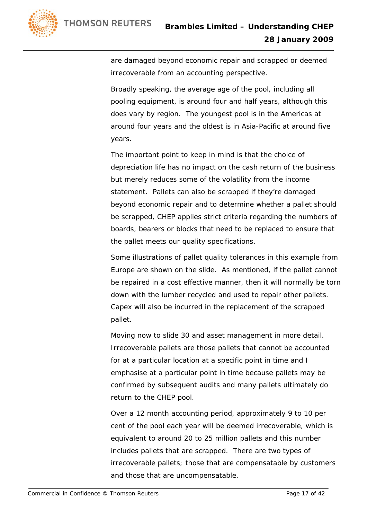

are damaged beyond economic repair and scrapped or deemed irrecoverable from an accounting perspective.

 Broadly speaking, the average age of the pool, including all pooling equipment, is around four and half years, although this does vary by region. The youngest pool is in the Americas at around four years and the oldest is in Asia-Pacific at around five years.

 The important point to keep in mind is that the choice of depreciation life has no impact on the cash return of the business but merely reduces some of the volatility from the income statement. Pallets can also be scrapped if they're damaged beyond economic repair and to determine whether a pallet should be scrapped, CHEP applies strict criteria regarding the numbers of boards, bearers or blocks that need to be replaced to ensure that the pallet meets our quality specifications.

 Some illustrations of pallet quality tolerances in this example from Europe are shown on the slide. As mentioned, if the pallet cannot be repaired in a cost effective manner, then it will normally be torn down with the lumber recycled and used to repair other pallets. Capex will also be incurred in the replacement of the scrapped pallet.

 Moving now to slide 30 and asset management in more detail. Irrecoverable pallets are those pallets that cannot be accounted for at a particular location at a specific point in time and I emphasise at a particular point in time because pallets may be confirmed by subsequent audits and many pallets ultimately do return to the CHEP pool.

 Over a 12 month accounting period, approximately 9 to 10 per cent of the pool each year will be deemed irrecoverable, which is equivalent to around 20 to 25 million pallets and this number includes pallets that are scrapped. There are two types of irrecoverable pallets; those that are compensatable by customers and those that are uncompensatable.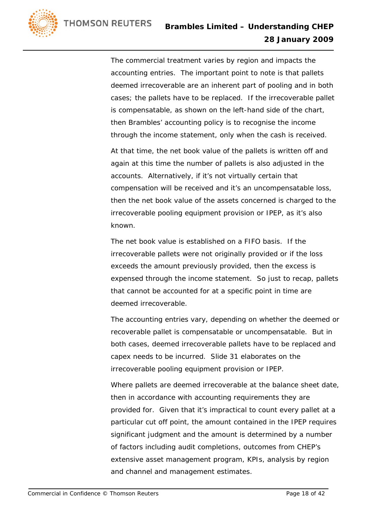

 The commercial treatment varies by region and impacts the accounting entries. The important point to note is that pallets deemed irrecoverable are an inherent part of pooling and in both cases; the pallets have to be replaced. If the irrecoverable pallet is compensatable, as shown on the left-hand side of the chart, then Brambles' accounting policy is to recognise the income through the income statement, only when the cash is received.

 At that time, the net book value of the pallets is written off and again at this time the number of pallets is also adjusted in the accounts. Alternatively, if it's not virtually certain that compensation will be received and it's an uncompensatable loss, then the net book value of the assets concerned is charged to the irrecoverable pooling equipment provision or IPEP, as it's also known.

 The net book value is established on a FIFO basis. If the irrecoverable pallets were not originally provided or if the loss exceeds the amount previously provided, then the excess is expensed through the income statement. So just to recap, pallets that cannot be accounted for at a specific point in time are deemed irrecoverable.

 The accounting entries vary, depending on whether the deemed or recoverable pallet is compensatable or uncompensatable. But in both cases, deemed irrecoverable pallets have to be replaced and capex needs to be incurred. Slide 31 elaborates on the irrecoverable pooling equipment provision or IPEP.

 Where pallets are deemed irrecoverable at the balance sheet date, then in accordance with accounting requirements they are provided for. Given that it's impractical to count every pallet at a particular cut off point, the amount contained in the IPEP requires significant judgment and the amount is determined by a number of factors including audit completions, outcomes from CHEP's extensive asset management program, KPIs, analysis by region and channel and management estimates.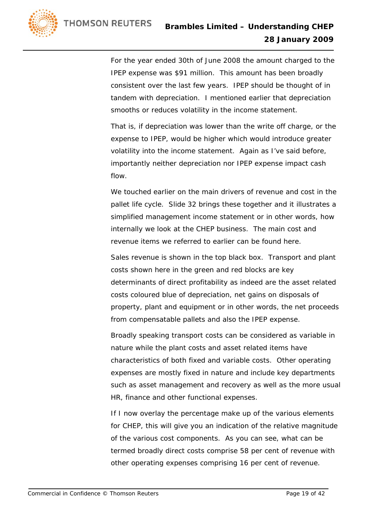For the year ended 30th of June 2008 the amount charged to the IPEP expense was \$91 million. This amount has been broadly consistent over the last few years. IPEP should be thought of in tandem with depreciation. I mentioned earlier that depreciation smooths or reduces volatility in the income statement.

 That is, if depreciation was lower than the write off charge, or the expense to IPEP, would be higher which would introduce greater volatility into the income statement. Again as I've said before, importantly neither depreciation nor IPEP expense impact cash flow.

 We touched earlier on the main drivers of revenue and cost in the pallet life cycle. Slide 32 brings these together and it illustrates a simplified management income statement or in other words, how internally we look at the CHEP business. The main cost and revenue items we referred to earlier can be found here.

 Sales revenue is shown in the top black box. Transport and plant costs shown here in the green and red blocks are key determinants of direct profitability as indeed are the asset related costs coloured blue of depreciation, net gains on disposals of property, plant and equipment or in other words, the net proceeds from compensatable pallets and also the IPEP expense.

 Broadly speaking transport costs can be considered as variable in nature while the plant costs and asset related items have characteristics of both fixed and variable costs. Other operating expenses are mostly fixed in nature and include key departments such as asset management and recovery as well as the more usual HR, finance and other functional expenses.

 If I now overlay the percentage make up of the various elements for CHEP, this will give you an indication of the relative magnitude of the various cost components. As you can see, what can be termed broadly direct costs comprise 58 per cent of revenue with other operating expenses comprising 16 per cent of revenue.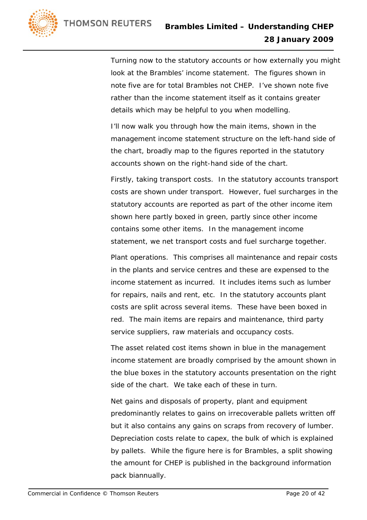

 Turning now to the statutory accounts or how externally you might look at the Brambles' income statement. The figures shown in note five are for total Brambles not CHEP. I've shown note five rather than the income statement itself as it contains greater details which may be helpful to you when modelling.

 I'll now walk you through how the main items, shown in the management income statement structure on the left-hand side of the chart, broadly map to the figures reported in the statutory accounts shown on the right-hand side of the chart.

 Firstly, taking transport costs. In the statutory accounts transport costs are shown under transport. However, fuel surcharges in the statutory accounts are reported as part of the other income item shown here partly boxed in green, partly since other income contains some other items. In the management income statement, we net transport costs and fuel surcharge together.

 Plant operations. This comprises all maintenance and repair costs in the plants and service centres and these are expensed to the income statement as incurred. It includes items such as lumber for repairs, nails and rent, etc. In the statutory accounts plant costs are split across several items. These have been boxed in red. The main items are repairs and maintenance, third party service suppliers, raw materials and occupancy costs.

 The asset related cost items shown in blue in the management income statement are broadly comprised by the amount shown in the blue boxes in the statutory accounts presentation on the right side of the chart. We take each of these in turn.

 Net gains and disposals of property, plant and equipment predominantly relates to gains on irrecoverable pallets written off but it also contains any gains on scraps from recovery of lumber. Depreciation costs relate to capex, the bulk of which is explained by pallets. While the figure here is for Brambles, a split showing the amount for CHEP is published in the background information pack biannually.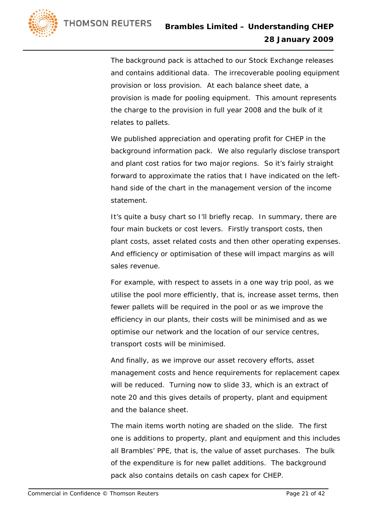

 The background pack is attached to our Stock Exchange releases and contains additional data. The irrecoverable pooling equipment provision or loss provision. At each balance sheet date, a provision is made for pooling equipment. This amount represents the charge to the provision in full year 2008 and the bulk of it relates to pallets.

 We published appreciation and operating profit for CHEP in the background information pack. We also regularly disclose transport and plant cost ratios for two major regions. So it's fairly straight forward to approximate the ratios that I have indicated on the lefthand side of the chart in the management version of the income statement.

 It's quite a busy chart so I'll briefly recap. In summary, there are four main buckets or cost levers. Firstly transport costs, then plant costs, asset related costs and then other operating expenses. And efficiency or optimisation of these will impact margins as will sales revenue.

 For example, with respect to assets in a one way trip pool, as we utilise the pool more efficiently, that is, increase asset terms, then fewer pallets will be required in the pool or as we improve the efficiency in our plants, their costs will be minimised and as we optimise our network and the location of our service centres, transport costs will be minimised.

 And finally, as we improve our asset recovery efforts, asset management costs and hence requirements for replacement capex will be reduced. Turning now to slide 33, which is an extract of note 20 and this gives details of property, plant and equipment and the balance sheet.

 The main items worth noting are shaded on the slide. The first one is additions to property, plant and equipment and this includes all Brambles' PPE, that is, the value of asset purchases. The bulk of the expenditure is for new pallet additions. The background pack also contains details on cash capex for CHEP.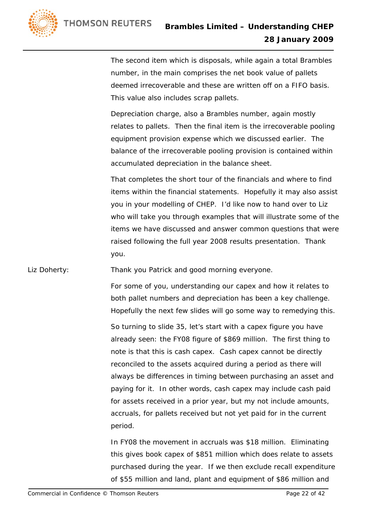The second item which is disposals, while again a total Brambles number, in the main comprises the net book value of pallets deemed irrecoverable and these are written off on a FIFO basis. This value also includes scrap pallets.

 Depreciation charge, also a Brambles number, again mostly relates to pallets. Then the final item is the irrecoverable pooling equipment provision expense which we discussed earlier. The balance of the irrecoverable pooling provision is contained within accumulated depreciation in the balance sheet.

 That completes the short tour of the financials and where to find items within the financial statements. Hopefully it may also assist you in your modelling of CHEP. I'd like now to hand over to Liz who will take you through examples that will illustrate some of the items we have discussed and answer common questions that were raised following the full year 2008 results presentation. Thank you.

Liz Doherty: Thank you Patrick and good morning everyone.

 For some of you, understanding our capex and how it relates to both pallet numbers and depreciation has been a key challenge. Hopefully the next few slides will go some way to remedying this.

 So turning to slide 35, let's start with a capex figure you have already seen: the FY08 figure of \$869 million. The first thing to note is that this is cash capex. Cash capex cannot be directly reconciled to the assets acquired during a period as there will always be differences in timing between purchasing an asset and paying for it. In other words, cash capex may include cash paid for assets received in a prior year, but my not include amounts, accruals, for pallets received but not yet paid for in the current period.

 In FY08 the movement in accruals was \$18 million. Eliminating this gives book capex of \$851 million which does relate to assets purchased during the year. If we then exclude recall expenditure of \$55 million and land, plant and equipment of \$86 million and

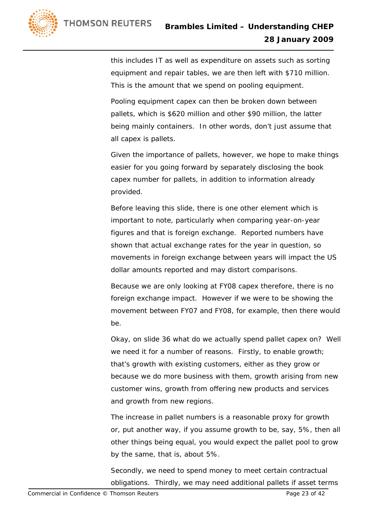this includes IT as well as expenditure on assets such as sorting equipment and repair tables, we are then left with \$710 million. This is the amount that we spend on pooling equipment.

 Pooling equipment capex can then be broken down between pallets, which is \$620 million and other \$90 million, the latter being mainly containers. In other words, don't just assume that all capex is pallets.

 Given the importance of pallets, however, we hope to make things easier for you going forward by separately disclosing the book capex number for pallets, in addition to information already provided.

 Before leaving this slide, there is one other element which is important to note, particularly when comparing year-on-year figures and that is foreign exchange. Reported numbers have shown that actual exchange rates for the year in question, so movements in foreign exchange between years will impact the US dollar amounts reported and may distort comparisons.

 Because we are only looking at FY08 capex therefore, there is no foreign exchange impact. However if we were to be showing the movement between FY07 and FY08, for example, then there would be.

 Okay, on slide 36 what do we actually spend pallet capex on? Well we need it for a number of reasons. Firstly, to enable growth; that's growth with existing customers, either as they grow or because we do more business with them, growth arising from new customer wins, growth from offering new products and services and growth from new regions.

 The increase in pallet numbers is a reasonable proxy for growth or, put another way, if you assume growth to be, say, 5%, then all other things being equal, you would expect the pallet pool to grow by the same, that is, about 5%.

 Secondly, we need to spend money to meet certain contractual obligations. Thirdly, we may need additional pallets if asset terms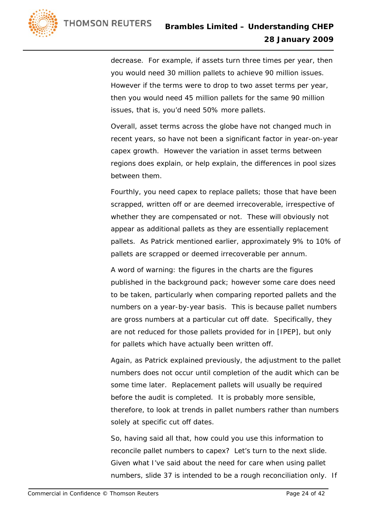decrease. For example, if assets turn three times per year, then you would need 30 million pallets to achieve 90 million issues. However if the terms were to drop to two asset terms per year, then you would need 45 million pallets for the same 90 million issues, that is, you'd need 50% more pallets.

 Overall, asset terms across the globe have not changed much in recent years, so have not been a significant factor in year-on-year capex growth. However the variation in asset terms between regions does explain, or help explain, the differences in pool sizes between them.

 Fourthly, you need capex to replace pallets; those that have been scrapped, written off or are deemed irrecoverable, irrespective of whether they are compensated or not. These will obviously not appear as additional pallets as they are essentially replacement pallets. As Patrick mentioned earlier, approximately 9% to 10% of pallets are scrapped or deemed irrecoverable per annum.

 A word of warning: the figures in the charts are the figures published in the background pack; however some care does need to be taken, particularly when comparing reported pallets and the numbers on a year-by-year basis. This is because pallet numbers are gross numbers at a particular cut off date. Specifically, they are not reduced for those pallets provided for in [IPEP], but only for pallets which have actually been written off.

 Again, as Patrick explained previously, the adjustment to the pallet numbers does not occur until completion of the audit which can be some time later. Replacement pallets will usually be required before the audit is completed. It is probably more sensible, therefore, to look at trends in pallet numbers rather than numbers solely at specific cut off dates.

 So, having said all that, how could you use this information to reconcile pallet numbers to capex? Let's turn to the next slide. Given what I've said about the need for care when using pallet numbers, slide 37 is intended to be a rough reconciliation only. If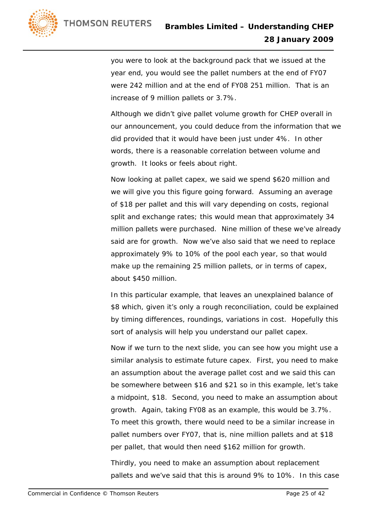

you were to look at the background pack that we issued at the year end, you would see the pallet numbers at the end of FY07 were 242 million and at the end of FY08 251 million. That is an increase of 9 million pallets or 3.7%.

 Although we didn't give pallet volume growth for CHEP overall in our announcement, you could deduce from the information that we did provided that it would have been just under 4%. In other words, there is a reasonable correlation between volume and growth. It looks or feels about right.

 Now looking at pallet capex, we said we spend \$620 million and we will give you this figure going forward. Assuming an average of \$18 per pallet and this will vary depending on costs, regional split and exchange rates; this would mean that approximately 34 million pallets were purchased. Nine million of these we've already said are for growth. Now we've also said that we need to replace approximately 9% to 10% of the pool each year, so that would make up the remaining 25 million pallets, or in terms of capex, about \$450 million.

 In this particular example, that leaves an unexplained balance of \$8 which, given it's only a rough reconciliation, could be explained by timing differences, roundings, variations in cost. Hopefully this sort of analysis will help you understand our pallet capex.

 Now if we turn to the next slide, you can see how you might use a similar analysis to estimate future capex. First, you need to make an assumption about the average pallet cost and we said this can be somewhere between \$16 and \$21 so in this example, let's take a midpoint, \$18. Second, you need to make an assumption about growth. Again, taking FY08 as an example, this would be 3.7%. To meet this growth, there would need to be a similar increase in pallet numbers over FY07, that is, nine million pallets and at \$18 per pallet, that would then need \$162 million for growth.

 Thirdly, you need to make an assumption about replacement pallets and we've said that this is around 9% to 10%. In this case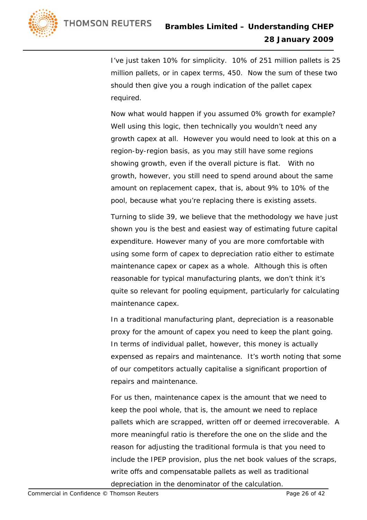I've just taken 10% for simplicity. 10% of 251 million pallets is 25 million pallets, or in capex terms, 450. Now the sum of these two should then give you a rough indication of the pallet capex required.

 Now what would happen if you assumed 0% growth for example? Well using this logic, then technically you wouldn't need any growth capex at all. However you would need to look at this on a region-by-region basis, as you may still have some regions showing growth, even if the overall picture is flat. With no growth, however, you still need to spend around about the same amount on replacement capex, that is, about 9% to 10% of the pool, because what you're replacing there is existing assets.

 Turning to slide 39, we believe that the methodology we have just shown you is the best and easiest way of estimating future capital expenditure. However many of you are more comfortable with using some form of capex to depreciation ratio either to estimate maintenance capex or capex as a whole. Although this is often reasonable for typical manufacturing plants, we don't think it's quite so relevant for pooling equipment, particularly for calculating maintenance capex.

 In a traditional manufacturing plant, depreciation is a reasonable proxy for the amount of capex you need to keep the plant going. In terms of individual pallet, however, this money is actually expensed as repairs and maintenance. It's worth noting that some of our competitors actually capitalise a significant proportion of repairs and maintenance.

 For us then, maintenance capex is the amount that we need to keep the pool whole, that is, the amount we need to replace pallets which are scrapped, written off or deemed irrecoverable. A more meaningful ratio is therefore the one on the slide and the reason for adjusting the traditional formula is that you need to include the IPEP provision, plus the net book values of the scraps, write offs and compensatable pallets as well as traditional depreciation in the denominator of the calculation.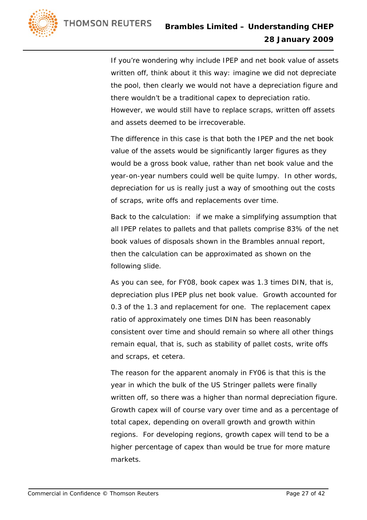If you're wondering why include IPEP and net book value of assets written off, think about it this way: imagine we did not depreciate the pool, then clearly we would not have a depreciation figure and there wouldn't be a traditional capex to depreciation ratio. However, we would still have to replace scraps, written off assets and assets deemed to be irrecoverable.

 The difference in this case is that both the IPEP and the net book value of the assets would be significantly larger figures as they would be a gross book value, rather than net book value and the year-on-year numbers could well be quite lumpy. In other words, depreciation for us is really just a way of smoothing out the costs of scraps, write offs and replacements over time.

 Back to the calculation: if we make a simplifying assumption that all IPEP relates to pallets and that pallets comprise 83% of the net book values of disposals shown in the Brambles annual report, then the calculation can be approximated as shown on the following slide.

 As you can see, for FY08, book capex was 1.3 times DIN, that is, depreciation plus IPEP plus net book value. Growth accounted for 0.3 of the 1.3 and replacement for one. The replacement capex ratio of approximately one times DIN has been reasonably consistent over time and should remain so where all other things remain equal, that is, such as stability of pallet costs, write offs and scraps, et cetera.

 The reason for the apparent anomaly in FY06 is that this is the year in which the bulk of the US Stringer pallets were finally written off, so there was a higher than normal depreciation figure. Growth capex will of course vary over time and as a percentage of total capex, depending on overall growth and growth within regions. For developing regions, growth capex will tend to be a higher percentage of capex than would be true for more mature markets.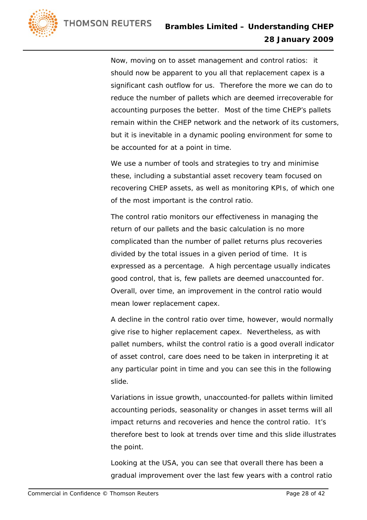

 Now, moving on to asset management and control ratios: it should now be apparent to you all that replacement capex is a significant cash outflow for us. Therefore the more we can do to reduce the number of pallets which are deemed irrecoverable for accounting purposes the better. Most of the time CHEP's pallets remain within the CHEP network and the network of its customers, but it is inevitable in a dynamic pooling environment for some to be accounted for at a point in time.

 We use a number of tools and strategies to try and minimise these, including a substantial asset recovery team focused on recovering CHEP assets, as well as monitoring KPIs, of which one of the most important is the control ratio.

 The control ratio monitors our effectiveness in managing the return of our pallets and the basic calculation is no more complicated than the number of pallet returns plus recoveries divided by the total issues in a given period of time. It is expressed as a percentage. A high percentage usually indicates good control, that is, few pallets are deemed unaccounted for. Overall, over time, an improvement in the control ratio would mean lower replacement capex.

 A decline in the control ratio over time, however, would normally give rise to higher replacement capex. Nevertheless, as with pallet numbers, whilst the control ratio is a good overall indicator of asset control, care does need to be taken in interpreting it at any particular point in time and you can see this in the following slide.

 Variations in issue growth, unaccounted-for pallets within limited accounting periods, seasonality or changes in asset terms will all impact returns and recoveries and hence the control ratio. It's therefore best to look at trends over time and this slide illustrates the point.

 Looking at the USA, you can see that overall there has been a gradual improvement over the last few years with a control ratio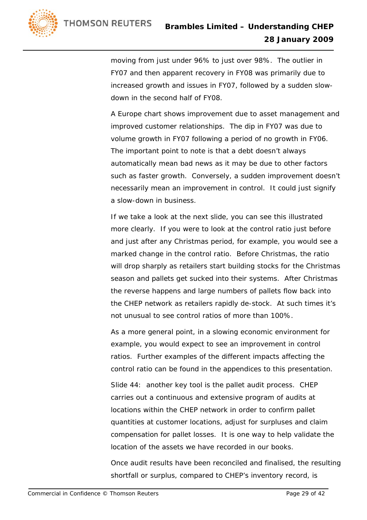

moving from just under 96% to just over 98%. The outlier in FY07 and then apparent recovery in FY08 was primarily due to increased growth and issues in FY07, followed by a sudden slowdown in the second half of FY08.

 A Europe chart shows improvement due to asset management and improved customer relationships. The dip in FY07 was due to volume growth in FY07 following a period of no growth in FY06. The important point to note is that a debt doesn't always automatically mean bad news as it may be due to other factors such as faster growth. Conversely, a sudden improvement doesn't necessarily mean an improvement in control. It could just signify a slow-down in business.

 If we take a look at the next slide, you can see this illustrated more clearly. If you were to look at the control ratio just before and just after any Christmas period, for example, you would see a marked change in the control ratio. Before Christmas, the ratio will drop sharply as retailers start building stocks for the Christmas season and pallets get sucked into their systems. After Christmas the reverse happens and large numbers of pallets flow back into the CHEP network as retailers rapidly de-stock. At such times it's not unusual to see control ratios of more than 100%.

 As a more general point, in a slowing economic environment for example, you would expect to see an improvement in control ratios. Further examples of the different impacts affecting the control ratio can be found in the appendices to this presentation.

 Slide 44: another key tool is the pallet audit process. CHEP carries out a continuous and extensive program of audits at locations within the CHEP network in order to confirm pallet quantities at customer locations, adjust for surpluses and claim compensation for pallet losses. It is one way to help validate the location of the assets we have recorded in our books.

 Once audit results have been reconciled and finalised, the resulting shortfall or surplus, compared to CHEP's inventory record, is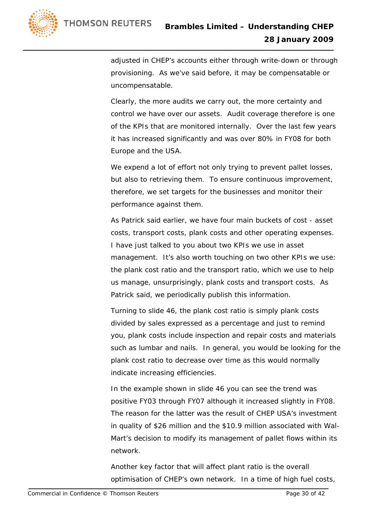

adjusted in CHEP's accounts either through write-down or through provisioning. As we've said before, it may be compensatable or uncompensatable.

 Clearly, the more audits we carry out, the more certainty and control we have over our assets. Audit coverage therefore is one of the KPIs that are monitored internally. Over the last few years it has increased significantly and was over 80% in FY08 for both Europe and the USA.

We expend a lot of effort not only trying to prevent pallet losses, but also to retrieving them. To ensure continuous improvement, therefore, we set targets for the businesses and monitor their performance against them.

 As Patrick said earlier, we have four main buckets of cost - asset costs, transport costs, plank costs and other operating expenses. I have just talked to you about two KPIs we use in asset management. It's also worth touching on two other KPIs we use: the plank cost ratio and the transport ratio, which we use to help us manage, unsurprisingly, plank costs and transport costs. As Patrick said, we periodically publish this information.

 Turning to slide 46, the plank cost ratio is simply plank costs divided by sales expressed as a percentage and just to remind you, plank costs include inspection and repair costs and materials such as lumbar and nails. In general, you would be looking for the plank cost ratio to decrease over time as this would normally indicate increasing efficiencies.

 In the example shown in slide 46 you can see the trend was positive FY03 through FY07 although it increased slightly in FY08. The reason for the latter was the result of CHEP USA's investment in quality of \$26 million and the \$10.9 million associated with Wal-Mart's decision to modify its management of pallet flows within its network.

 Another key factor that will affect plant ratio is the overall optimisation of CHEP's own network. In a time of high fuel costs,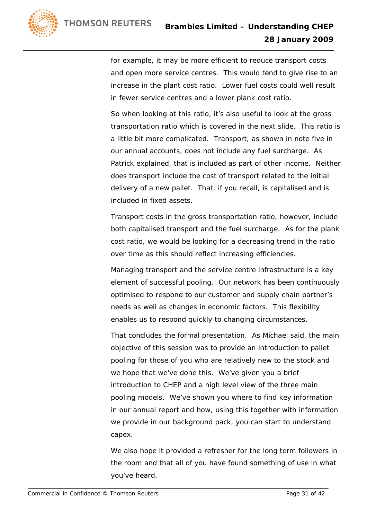

for example, it may be more efficient to reduce transport costs and open more service centres. This would tend to give rise to an increase in the plant cost ratio. Lower fuel costs could well result in fewer service centres and a lower plank cost ratio.

 So when looking at this ratio, it's also useful to look at the gross transportation ratio which is covered in the next slide. This ratio is a little bit more complicated. Transport, as shown in note five in our annual accounts, does not include any fuel surcharge. As Patrick explained, that is included as part of other income. Neither does transport include the cost of transport related to the initial delivery of a new pallet. That, if you recall, is capitalised and is included in fixed assets.

 Transport costs in the gross transportation ratio, however, include both capitalised transport and the fuel surcharge. As for the plank cost ratio, we would be looking for a decreasing trend in the ratio over time as this should reflect increasing efficiencies.

 Managing transport and the service centre infrastructure is a key element of successful pooling. Our network has been continuously optimised to respond to our customer and supply chain partner's needs as well as changes in economic factors. This flexibility enables us to respond quickly to changing circumstances.

 That concludes the formal presentation. As Michael said, the main objective of this session was to provide an introduction to pallet pooling for those of you who are relatively new to the stock and we hope that we've done this. We've given you a brief introduction to CHEP and a high level view of the three main pooling models. We've shown you where to find key information in our annual report and how, using this together with information we provide in our background pack, you can start to understand capex.

 We also hope it provided a refresher for the long term followers in the room and that all of you have found something of use in what you've heard.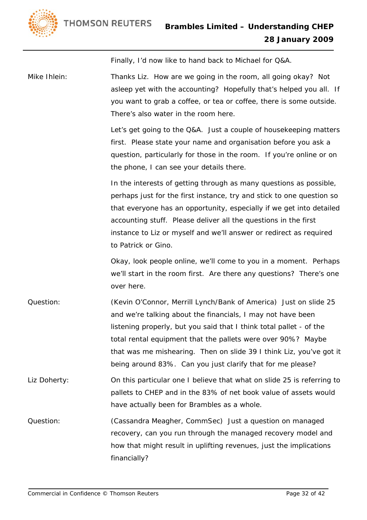

Finally, I'd now like to hand back to Michael for Q&A.

Mike Ihlein: Thanks Liz. How are we going in the room, all going okay? Not asleep yet with the accounting? Hopefully that's helped you all. If you want to grab a coffee, or tea or coffee, there is some outside. There's also water in the room here.

> Let's get going to the Q&A. Just a couple of housekeeping matters first. Please state your name and organisation before you ask a question, particularly for those in the room. If you're online or on the phone, I can see your details there.

> In the interests of getting through as many questions as possible, perhaps just for the first instance, try and stick to one question so that everyone has an opportunity, especially if we get into detailed accounting stuff. Please deliver all the questions in the first instance to Liz or myself and we'll answer or redirect as required to Patrick or Gino.

> Okay, look people online, we'll come to you in a moment. Perhaps we'll start in the room first. Are there any questions? There's one over here.

- Question: (Kevin O'Connor, Merrill Lynch/Bank of America) Just on slide 25 and we're talking about the financials, I may not have been listening properly, but you said that I think total pallet - of the total rental equipment that the pallets were over 90%? Maybe that was me mishearing. Then on slide 39 I think Liz, you've got it being around 83%. Can you just clarify that for me please?
- Liz Doherty: 00 On this particular one I believe that what on slide 25 is referring to pallets to CHEP and in the 83% of net book value of assets would have actually been for Brambles as a whole.
- Question: (Cassandra Meagher, CommSec) Just a question on managed recovery, can you run through the managed recovery model and how that might result in uplifting revenues, just the implications financially?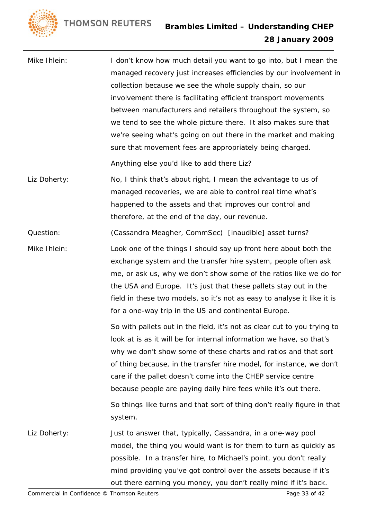**THOMSON REUTERS** 



Mike Ihlein: I don't know how much detail you want to go into, but I mean the managed recovery just increases efficiencies by our involvement in collection because we see the whole supply chain, so our involvement there is facilitating efficient transport movements between manufacturers and retailers throughout the system, so we tend to see the whole picture there. It also makes sure that we're seeing what's going on out there in the market and making sure that movement fees are appropriately being charged.

Anything else you'd like to add there Liz?

Liz Doherty: No, I think that's about right, I mean the advantage to us of managed recoveries, we are able to control real time what's happened to the assets and that improves our control and therefore, at the end of the day, our revenue.

Question: (Cassandra Meagher, CommSec) [inaudible] asset turns?

Mike Ihlein: Look one of the things I should say up front here about both the exchange system and the transfer hire system, people often ask me, or ask us, why we don't show some of the ratios like we do for the USA and Europe. It's just that these pallets stay out in the field in these two models, so it's not as easy to analyse it like it is for a one-way trip in the US and continental Europe.

> So with pallets out in the field, it's not as clear cut to you trying to look at is as it will be for internal information we have, so that's why we don't show some of these charts and ratios and that sort of thing because, in the transfer hire model, for instance, we don't care if the pallet doesn't come into the CHEP service centre because people are paying daily hire fees while it's out there.

> So things like turns and that sort of thing don't really figure in that system.

Liz Doherty: Just to answer that, typically, Cassandra, in a one-way pool model, the thing you would want is for them to turn as quickly as possible. In a transfer hire, to Michael's point, you don't really mind providing you've got control over the assets because if it's out there earning you money, you don't really mind if it's back.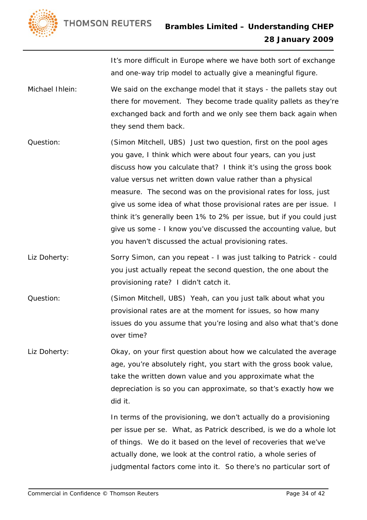



It's more difficult in Europe where we have both sort of exchange and one-way trip model to actually give a meaningful figure.

- Michael Ihlein: We said on the exchange model that it stays the pallets stay out there for movement. They become trade quality pallets as they're exchanged back and forth and we only see them back again when they send them back.
- Question: (Simon Mitchell, UBS) Just two question, first on the pool ages you gave, I think which were about four years, can you just discuss how you calculate that? I think it's using the gross book value versus net written down value rather than a physical measure. The second was on the provisional rates for loss, just give us some idea of what those provisional rates are per issue. I think it's generally been 1% to 2% per issue, but if you could just give us some - I know you've discussed the accounting value, but you haven't discussed the actual provisioning rates.
- Liz Doherty: Sorry Simon, can you repeat I was just talking to Patrick could you just actually repeat the second question, the one about the provisioning rate? I didn't catch it.
- Question: (Simon Mitchell, UBS) Yeah, can you just talk about what you provisional rates are at the moment for issues, so how many issues do you assume that you're losing and also what that's done over time?
- Liz Doherty: Okay, on your first question about how we calculated the average age, you're absolutely right, you start with the gross book value, take the written down value and you approximate what the depreciation is so you can approximate, so that's exactly how we did it.

 In terms of the provisioning, we don't actually do a provisioning per issue per se. What, as Patrick described, is we do a whole lot of things. We do it based on the level of recoveries that we've actually done, we look at the control ratio, a whole series of judgmental factors come into it. So there's no particular sort of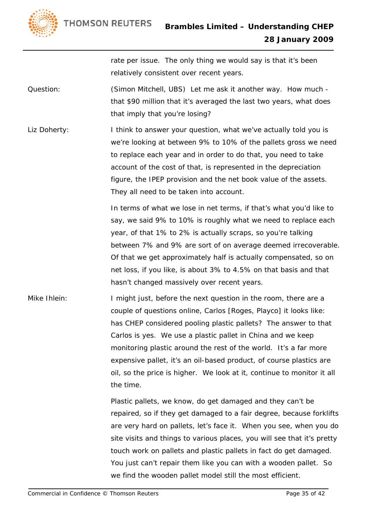



rate per issue. The only thing we would say is that it's been relatively consistent over recent years.

Question: (Simon Mitchell, UBS) Let me ask it another way. How much that \$90 million that it's averaged the last two years, what does that imply that you're losing?

Liz Doherty: I think to answer your question, what we've actually told you is we're looking at between 9% to 10% of the pallets gross we need to replace each year and in order to do that, you need to take account of the cost of that, is represented in the depreciation figure, the IPEP provision and the net book value of the assets. They all need to be taken into account.

> In terms of what we lose in net terms, if that's what you'd like to say, we said 9% to 10% is roughly what we need to replace each year, of that 1% to 2% is actually scraps, so you're talking between 7% and 9% are sort of on average deemed irrecoverable. Of that we get approximately half is actually compensated, so on net loss, if you like, is about 3% to 4.5% on that basis and that hasn't changed massively over recent years.

Mike Ihlein: I might just, before the next question in the room, there are a couple of questions online, Carlos [Roges, Playco] it looks like: has CHEP considered pooling plastic pallets? The answer to that Carlos is yes. We use a plastic pallet in China and we keep monitoring plastic around the rest of the world. It's a far more expensive pallet, it's an oil-based product, of course plastics are oil, so the price is higher. We look at it, continue to monitor it all the time.

> Plastic pallets, we know, do get damaged and they can't be repaired, so if they get damaged to a fair degree, because forklifts are very hard on pallets, let's face it. When you see, when you do site visits and things to various places, you will see that it's pretty touch work on pallets and plastic pallets in fact do get damaged. You just can't repair them like you can with a wooden pallet. So we find the wooden pallet model still the most efficient.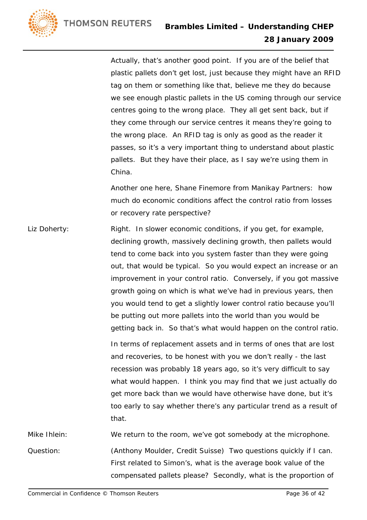

 Actually, that's another good point. If you are of the belief that plastic pallets don't get lost, just because they might have an RFID tag on them or something like that, believe me they do because we see enough plastic pallets in the US coming through our service centres going to the wrong place. They all get sent back, but if they come through our service centres it means they're going to the wrong place. An RFID tag is only as good as the reader it passes, so it's a very important thing to understand about plastic pallets. But they have their place, as I say we're using them in China.

 Another one here, Shane Finemore from Manikay Partners: how much do economic conditions affect the control ratio from losses or recovery rate perspective?

Liz Doherty: Right. In slower economic conditions, if you get, for example, declining growth, massively declining growth, then pallets would tend to come back into you system faster than they were going out, that would be typical. So you would expect an increase or an improvement in your control ratio. Conversely, if you got massive growth going on which is what we've had in previous years, then you would tend to get a slightly lower control ratio because you'll be putting out more pallets into the world than you would be getting back in. So that's what would happen on the control ratio. In terms of replacement assets and in terms of ones that are lost and recoveries, to be honest with you we don't really - the last recession was probably 18 years ago, so it's very difficult to say what would happen. I think you may find that we just actually do get more back than we would have otherwise have done, but it's too early to say whether there's any particular trend as a result of that.

Mike Ihlein: We return to the room, we've got somebody at the microphone. Question: (Anthony Moulder, Credit Suisse) Two questions quickly if I can. First related to Simon's, what is the average book value of the compensated pallets please? Secondly, what is the proportion of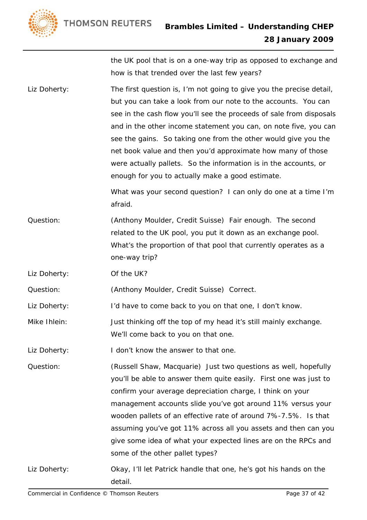**THOMSON REUTERS** 



the UK pool that is on a one-way trip as opposed to exchange and how is that trended over the last few years?

Liz Doherty: The first question is, I'm not going to give you the precise detail, but you can take a look from our note to the accounts. You can see in the cash flow you'll see the proceeds of sale from disposals and in the other income statement you can, on note five, you can see the gains. So taking one from the other would give you the net book value and then you'd approximate how many of those were actually pallets. So the information is in the accounts, or enough for you to actually make a good estimate.

> What was your second question? I can only do one at a time I'm afraid.

- Question: (Anthony Moulder, Credit Suisse) Fair enough. The second related to the UK pool, you put it down as an exchange pool. What's the proportion of that pool that currently operates as a one-way trip?
- Liz Doherty: Of the UK?

Question: (Anthony Moulder, Credit Suisse) Correct.

Liz Doherty: I'd have to come back to you on that one, I don't know.

Mike Ihlein: Just thinking off the top of my head it's still mainly exchange. We'll come back to you on that one.

Liz Doherty: I don't know the answer to that one.

- Question: (Russell Shaw, Macquarie) Just two questions as well, hopefully you'll be able to answer them quite easily. First one was just to confirm your average depreciation charge, I think on your management accounts slide you've got around 11% versus your wooden pallets of an effective rate of around 7%-7.5%. Is that assuming you've got 11% across all you assets and then can you give some idea of what your expected lines are on the RPCs and some of the other pallet types?
- Liz Doherty: Okay, I'll let Patrick handle that one, he's got his hands on the detail.

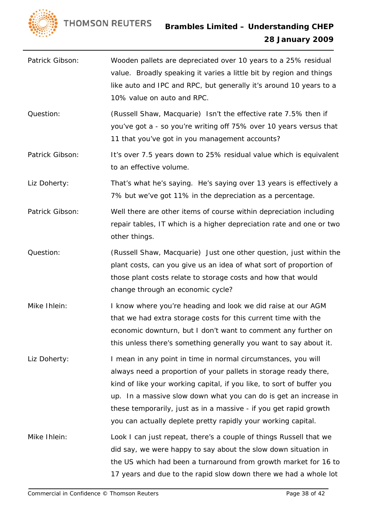

- Patrick Gibson: Wooden pallets are depreciated over 10 years to a 25% residual value. Broadly speaking it varies a little bit by region and things like auto and IPC and RPC, but generally it's around 10 years to a 10% value on auto and RPC.
- Question: (Russell Shaw, Macquarie) Isn't the effective rate 7.5% then if you've got a - so you're writing off 75% over 10 years versus that 11 that you've got in you management accounts?
- Patrick Gibson: It's over 7.5 years down to 25% residual value which is equivalent to an effective volume.

Liz Doherty: That's what he's saying. He's saying over 13 years is effectively a 7% but we've got 11% in the depreciation as a percentage.

- Patrick Gibson: Well there are other items of course within depreciation including repair tables, IT which is a higher depreciation rate and one or two other things.
- Question: (Russell Shaw, Macquarie) Just one other question, just within the plant costs, can you give us an idea of what sort of proportion of those plant costs relate to storage costs and how that would change through an economic cycle?
- Mike Ihlein: I know where you're heading and look we did raise at our AGM that we had extra storage costs for this current time with the economic downturn, but I don't want to comment any further on this unless there's something generally you want to say about it.
- Liz Doherty: I mean in any point in time in normal circumstances, you will always need a proportion of your pallets in storage ready there, kind of like your working capital, if you like, to sort of buffer you up. In a massive slow down what you can do is get an increase in these temporarily, just as in a massive - if you get rapid growth you can actually deplete pretty rapidly your working capital.
- Mike Ihlein: Look I can just repeat, there's a couple of things Russell that we did say, we were happy to say about the slow down situation in the US which had been a turnaround from growth market for 16 to 17 years and due to the rapid slow down there we had a whole lot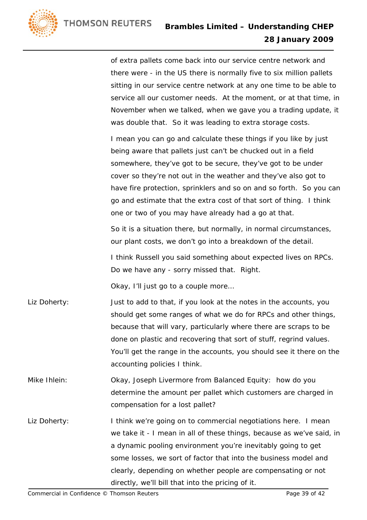of extra pallets come back into our service centre network and there were - in the US there is normally five to six million pallets sitting in our service centre network at any one time to be able to service all our customer needs. At the moment, or at that time, in November when we talked, when we gave you a trading update, it was double that. So it was leading to extra storage costs.

 I mean you can go and calculate these things if you like by just being aware that pallets just can't be chucked out in a field somewhere, they've got to be secure, they've got to be under cover so they're not out in the weather and they've also got to have fire protection, sprinklers and so on and so forth. So you can go and estimate that the extra cost of that sort of thing. I think one or two of you may have already had a go at that.

 So it is a situation there, but normally, in normal circumstances, our plant costs, we don't go into a breakdown of the detail.

 I think Russell you said something about expected lives on RPCs. Do we have any - sorry missed that. Right.

Okay, I'll just go to a couple more…

- Liz Doherty: Just to add to that, if you look at the notes in the accounts, you should get some ranges of what we do for RPCs and other things, because that will vary, particularly where there are scraps to be done on plastic and recovering that sort of stuff, regrind values. You'll get the range in the accounts, you should see it there on the accounting policies I think.
- Mike Ihlein: Okay, Joseph Livermore from Balanced Equity: how do you determine the amount per pallet which customers are charged in compensation for a lost pallet?
- Liz Doherty: I think we're going on to commercial negotiations here. I mean we take it - I mean in all of these things, because as we've said, in a dynamic pooling environment you're inevitably going to get some losses, we sort of factor that into the business model and clearly, depending on whether people are compensating or not directly, we'll bill that into the pricing of it.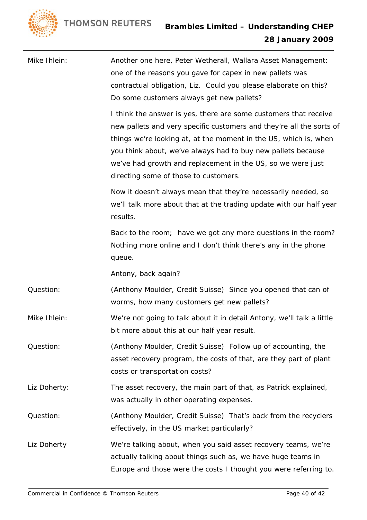

| Mike Ihlein: | Another one here, Peter Wetherall, Wallara Asset Management:<br>one of the reasons you gave for capex in new pallets was<br>contractual obligation, Liz. Could you please elaborate on this?<br>Do some customers always get new pallets?                                                                                                                                            |
|--------------|--------------------------------------------------------------------------------------------------------------------------------------------------------------------------------------------------------------------------------------------------------------------------------------------------------------------------------------------------------------------------------------|
|              | I think the answer is yes, there are some customers that receive<br>new pallets and very specific customers and they're all the sorts of<br>things we're looking at, at the moment in the US, which is, when<br>you think about, we've always had to buy new pallets because<br>we've had growth and replacement in the US, so we were just<br>directing some of those to customers. |
|              | Now it doesn't always mean that they're necessarily needed, so<br>we'll talk more about that at the trading update with our half year<br>results.                                                                                                                                                                                                                                    |
|              | Back to the room; have we got any more questions in the room?<br>Nothing more online and I don't think there's any in the phone<br>queue.                                                                                                                                                                                                                                            |
|              | Antony, back again?                                                                                                                                                                                                                                                                                                                                                                  |
| Question:    | (Anthony Moulder, Credit Suisse) Since you opened that can of<br>worms, how many customers get new pallets?                                                                                                                                                                                                                                                                          |
| Mike Ihlein: | We're not going to talk about it in detail Antony, we'll talk a little<br>bit more about this at our half year result.                                                                                                                                                                                                                                                               |
| Question:    | (Anthony Moulder, Credit Suisse) Follow up of accounting, the<br>asset recovery program, the costs of that, are they part of plant<br>costs or transportation costs?                                                                                                                                                                                                                 |
| Liz Doherty: | The asset recovery, the main part of that, as Patrick explained,<br>was actually in other operating expenses.                                                                                                                                                                                                                                                                        |
| Question:    | (Anthony Moulder, Credit Suisse) That's back from the recyclers<br>effectively, in the US market particularly?                                                                                                                                                                                                                                                                       |
| Liz Doherty  | We're talking about, when you said asset recovery teams, we're<br>actually talking about things such as, we have huge teams in<br>Europe and those were the costs I thought you were referring to.                                                                                                                                                                                   |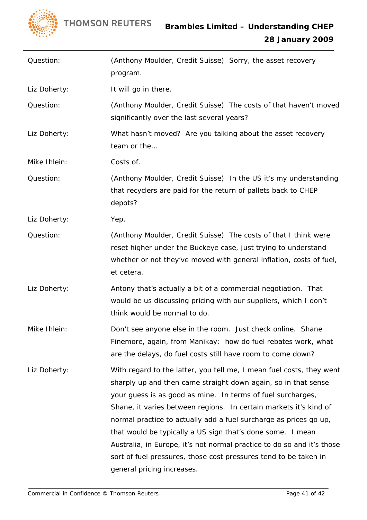

| Question:    | (Anthony Moulder, Credit Suisse) Sorry, the asset recovery<br>program.                                                                                                                                                                                                                                                                                                                                                                                                                                                                                                                    |
|--------------|-------------------------------------------------------------------------------------------------------------------------------------------------------------------------------------------------------------------------------------------------------------------------------------------------------------------------------------------------------------------------------------------------------------------------------------------------------------------------------------------------------------------------------------------------------------------------------------------|
| Liz Doherty: | It will go in there.                                                                                                                                                                                                                                                                                                                                                                                                                                                                                                                                                                      |
| Question:    | (Anthony Moulder, Credit Suisse) The costs of that haven't moved<br>significantly over the last several years?                                                                                                                                                                                                                                                                                                                                                                                                                                                                            |
| Liz Doherty: | What hasn't moved? Are you talking about the asset recovery<br>team or the                                                                                                                                                                                                                                                                                                                                                                                                                                                                                                                |
| Mike Ihlein: | Costs of.                                                                                                                                                                                                                                                                                                                                                                                                                                                                                                                                                                                 |
| Question:    | (Anthony Moulder, Credit Suisse) In the US it's my understanding<br>that recyclers are paid for the return of pallets back to CHEP<br>depots?                                                                                                                                                                                                                                                                                                                                                                                                                                             |
| Liz Doherty: | Yep.                                                                                                                                                                                                                                                                                                                                                                                                                                                                                                                                                                                      |
| Question:    | (Anthony Moulder, Credit Suisse) The costs of that I think were<br>reset higher under the Buckeye case, just trying to understand<br>whether or not they've moved with general inflation, costs of fuel,<br>et cetera.                                                                                                                                                                                                                                                                                                                                                                    |
| Liz Doherty: | Antony that's actually a bit of a commercial negotiation. That<br>would be us discussing pricing with our suppliers, which I don't<br>think would be normal to do.                                                                                                                                                                                                                                                                                                                                                                                                                        |
| Mike Ihlein: | Don't see anyone else in the room. Just check online. Shane<br>Finemore, again, from Manikay: how do fuel rebates work, what<br>are the delays, do fuel costs still have room to come down?                                                                                                                                                                                                                                                                                                                                                                                               |
| Liz Doherty: | With regard to the latter, you tell me, I mean fuel costs, they went<br>sharply up and then came straight down again, so in that sense<br>your guess is as good as mine. In terms of fuel surcharges,<br>Shane, it varies between regions. In certain markets it's kind of<br>normal practice to actually add a fuel surcharge as prices go up,<br>that would be typically a US sign that's done some. I mean<br>Australia, in Europe, it's not normal practice to do so and it's those<br>sort of fuel pressures, those cost pressures tend to be taken in<br>general pricing increases. |